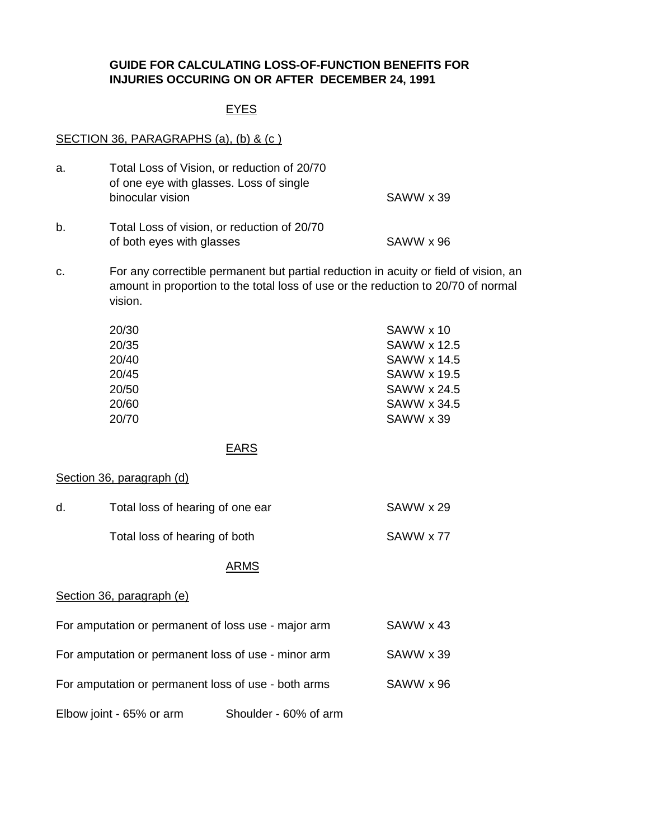# **GUIDE FOR CALCULATING LOSS-OF-FUNCTION BENEFITS FOR INJURIES OCCURING ON OR AFTER DECEMBER 24, 1991**

# EYES

# SECTION 36, PARAGRAPHS (a), (b) & (c)

| a.                                                               | Total Loss of Vision, or reduction of 20/70<br>of one eye with glasses. Loss of single                                                                                               |             |                                                                                                                        |  |  |
|------------------------------------------------------------------|--------------------------------------------------------------------------------------------------------------------------------------------------------------------------------------|-------------|------------------------------------------------------------------------------------------------------------------------|--|--|
|                                                                  | binocular vision                                                                                                                                                                     |             | SAWW x 39                                                                                                              |  |  |
| b.                                                               | Total Loss of vision, or reduction of 20/70<br>of both eyes with glasses                                                                                                             |             | SAWW x 96                                                                                                              |  |  |
| c.                                                               | For any correctible permanent but partial reduction in acuity or field of vision, an<br>amount in proportion to the total loss of use or the reduction to 20/70 of normal<br>vision. |             |                                                                                                                        |  |  |
|                                                                  | 20/30<br>20/35<br>20/40<br>20/45<br>20/50<br>20/60<br>20/70                                                                                                                          |             | SAWW x 10<br><b>SAWW x 12.5</b><br><b>SAWW x 14.5</b><br><b>SAWW x 19.5</b><br>SAWW x 24.5<br>SAWW x 34.5<br>SAWW x 39 |  |  |
|                                                                  |                                                                                                                                                                                      | <b>EARS</b> |                                                                                                                        |  |  |
|                                                                  | Section 36, paragraph (d)                                                                                                                                                            |             |                                                                                                                        |  |  |
| d.                                                               | Total loss of hearing of one ear                                                                                                                                                     |             | SAWW x 29                                                                                                              |  |  |
|                                                                  | Total loss of hearing of both                                                                                                                                                        |             | SAWW x 77                                                                                                              |  |  |
|                                                                  |                                                                                                                                                                                      | <b>ARMS</b> |                                                                                                                        |  |  |
|                                                                  | Section 36, paragraph (e)                                                                                                                                                            |             |                                                                                                                        |  |  |
| For amputation or permanent of loss use - major arm<br>SAWW x 43 |                                                                                                                                                                                      |             |                                                                                                                        |  |  |
| For amputation or permanent loss of use - minor arm<br>SAWW x 39 |                                                                                                                                                                                      |             |                                                                                                                        |  |  |
| For amputation or permanent loss of use - both arms<br>SAWW x 96 |                                                                                                                                                                                      |             |                                                                                                                        |  |  |
| Shoulder - 60% of arm<br>Elbow joint - 65% or arm                |                                                                                                                                                                                      |             |                                                                                                                        |  |  |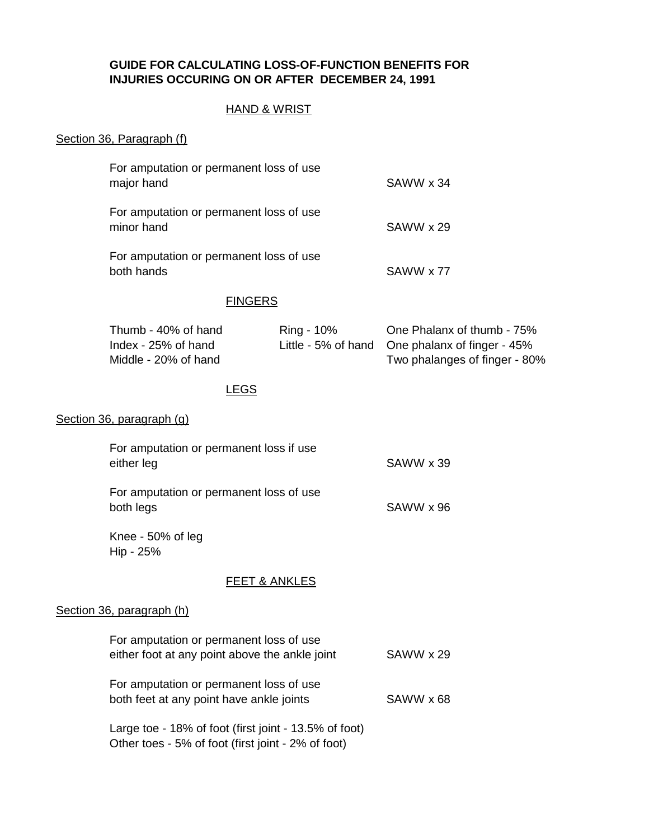### **GUIDE FOR CALCULATING LOSS-OF-FUNCTION BENEFITS FOR INJURIES OCCURING ON OR AFTER DECEMBER 24, 1991**

# HAND & WRIST

#### Section 36, Paragraph (f)

| For amputation or permanent loss of use<br>major hand | SAWW x 34 |
|-------------------------------------------------------|-----------|
| For amputation or permanent loss of use<br>minor hand | SAWW x 29 |
| For amputation or permanent loss of use<br>both hands | SAWW x 77 |

#### **FINGERS**

| Thumb - 40% of hand   | Ring - 10% | One Phalanx of thumb - 75%                      |
|-----------------------|------------|-------------------------------------------------|
| Index - $25%$ of hand |            | Little - 5% of hand One phalanx of finger - 45% |
| Middle - 20% of hand  |            | Two phalanges of finger - 80%                   |

### LEGS

### Section 36, paragraph (g)

|                           | For amputation or permanent loss if use<br>either leg<br>For amputation or permanent loss of use<br>both legs |           |  |
|---------------------------|---------------------------------------------------------------------------------------------------------------|-----------|--|
|                           |                                                                                                               |           |  |
|                           | Knee - 50% of leg<br>Hip - 25%                                                                                |           |  |
|                           | FEET & ANKLES                                                                                                 |           |  |
| Section 36, paragraph (h) |                                                                                                               |           |  |
|                           | For amputation or permanent loss of use<br>either foot at any point above the ankle joint                     | SAWW x 29 |  |
|                           | For amputation or permanent loss of use<br>both feet at any point have ankle joints                           |           |  |
|                           | Large toe - 18% of foot (first joint - 13.5% of foot)                                                         |           |  |

Other toes - 5% of foot (first joint - 2% of foot)